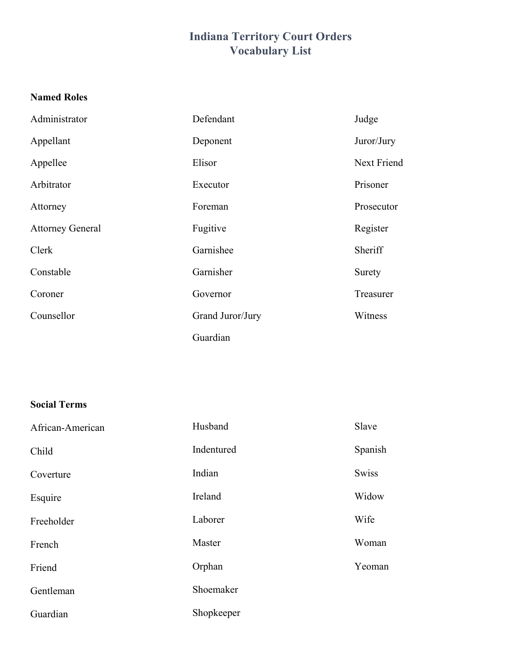# **Indiana Territory Court Orders Vocabulary List**

### **Named Roles**

| Administrator           | Defendant        | Judge       |
|-------------------------|------------------|-------------|
| Appellant               | Deponent         | Juror/Jury  |
| Appellee                | Elisor           | Next Friend |
| Arbitrator              | Executor         | Prisoner    |
| Attorney                | Foreman          | Prosecutor  |
| <b>Attorney General</b> | Fugitive         | Register    |
| Clerk                   | Garnishee        | Sheriff     |
| Constable               | Garnisher        | Surety      |
| Coroner                 | Governor         | Treasurer   |
| Counsellor              | Grand Juror/Jury | Witness     |
|                         | Guardian         |             |

## **Social Terms**

| African-American | Husband    | Slave        |
|------------------|------------|--------------|
| Child            | Indentured | Spanish      |
| Coverture        | Indian     | <b>Swiss</b> |
| Esquire          | Ireland    | Widow        |
| Freeholder       | Laborer    | Wife         |
| French           | Master     | Woman        |
| Friend           | Orphan     | Yeoman       |
| Gentleman        | Shoemaker  |              |
| Guardian         | Shopkeeper |              |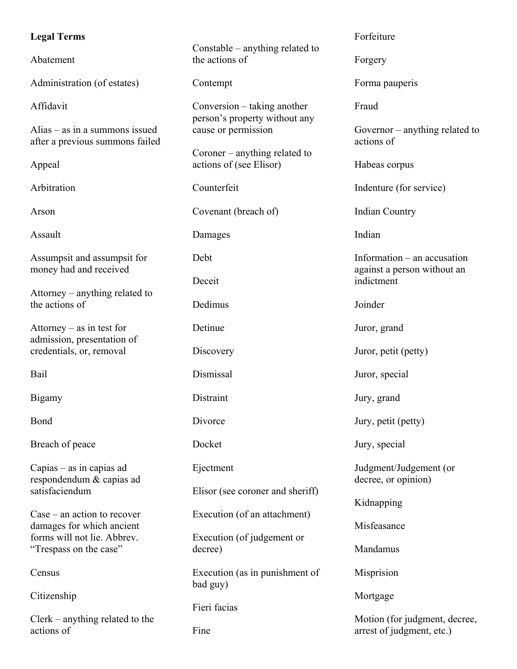#### **Legal Terms**

Abatement

Administration (of estates)

Affidavit

Alias – as in a summons issued after a previous summons failed

Appeal

Arbitration

Arson

Assault

Assumpsit and assumpsit for money had and received

Attorney – anything related to the actions of

Attorney – as in test for admission, presentation of credentials, or, removal

Bail

Bigamy

Bond

Breach of peace

Capias – as in capias ad respondendum & capias ad satisfaciendum

Case – an action to recover damages for which ancient forms will not lie. Abbrev. "Trespass on the case"

**Census** 

Citizenship

Clerk – anything related to the actions of

Constable – anything related to the actions of

Contempt

Conversion – taking another person's property without any cause or permission

Coroner – anything related to actions of (see Elisor)

Counterfeit

Covenant (breach of)

Damages

Debt

Deceit

Detinue

Dedimus

**Discovery** 

Dismissal

**Distraint** 

**Divorce** 

Docket

Ejectment

Elisor (see coroner and sheriff)

Execution (of an attachment)

Execution (of judgement or decree)

Execution (as in punishment of bad guy)

Fieri facias

Fine

Forfeiture

Forgery

Forma pauperis

Fraud

Governor – anything related to actions of

Habeas corpus

Indenture (for service)

Indian Country

Indian

Information – an accusation against a person without an indictment

Joinder

Juror, grand

Juror, petit (petty)

Juror, special

Jury, grand

Jury, petit (petty)

Jury, special

Judgment/Judgement (or decree, or opinion)

Kidnapping

Misfeasance

Mandamus

Misprision

Mortgage

Motion (for judgment, decree, arrest of judgment, etc.)